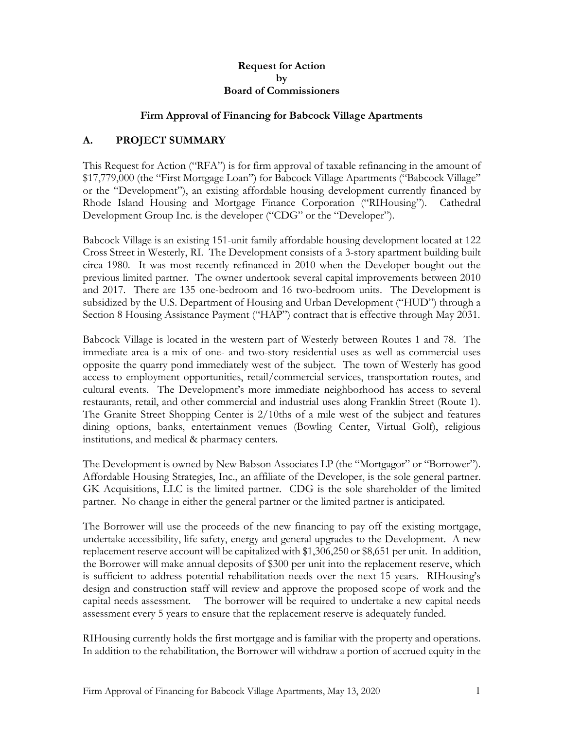#### **Request for Action by Board of Commissioners**

#### **Firm Approval of Financing for Babcock Village Apartments**

### **A. PROJECT SUMMARY**

This Request for Action ("RFA") is for firm approval of taxable refinancing in the amount of \$17,779,000 (the "First Mortgage Loan") for Babcock Village Apartments ("Babcock Village" or the "Development"), an existing affordable housing development currently financed by Rhode Island Housing and Mortgage Finance Corporation ("RIHousing"). Cathedral Development Group Inc. is the developer ("CDG" or the "Developer").

Babcock Village is an existing 151-unit family affordable housing development located at 122 Cross Street in Westerly, RI. The Development consists of a 3-story apartment building built circa 1980. It was most recently refinanced in 2010 when the Developer bought out the previous limited partner. The owner undertook several capital improvements between 2010 and 2017. There are 135 one-bedroom and 16 two-bedroom units. The Development is subsidized by the U.S. Department of Housing and Urban Development ("HUD") through a Section 8 Housing Assistance Payment ("HAP") contract that is effective through May 2031.

Babcock Village is located in the western part of Westerly between Routes 1 and 78. The immediate area is a mix of one- and two-story residential uses as well as commercial uses opposite the quarry pond immediately west of the subject. The town of Westerly has good access to employment opportunities, retail/commercial services, transportation routes, and cultural events. The Development's more immediate neighborhood has access to several restaurants, retail, and other commercial and industrial uses along Franklin Street (Route 1). The Granite Street Shopping Center is 2/10ths of a mile west of the subject and features dining options, banks, entertainment venues (Bowling Center, Virtual Golf), religious institutions, and medical & pharmacy centers.

The Development is owned by New Babson Associates LP (the "Mortgagor" or "Borrower"). Affordable Housing Strategies, Inc., an affiliate of the Developer, is the sole general partner. GK Acquisitions, LLC is the limited partner. CDG is the sole shareholder of the limited partner. No change in either the general partner or the limited partner is anticipated.

The Borrower will use the proceeds of the new financing to pay off the existing mortgage, undertake accessibility, life safety, energy and general upgrades to the Development. A new replacement reserve account will be capitalized with \$1,306,250 or \$8,651 per unit. In addition, the Borrower will make annual deposits of \$300 per unit into the replacement reserve, which is sufficient to address potential rehabilitation needs over the next 15 years. RIHousing's design and construction staff will review and approve the proposed scope of work and the capital needs assessment. The borrower will be required to undertake a new capital needs assessment every 5 years to ensure that the replacement reserve is adequately funded.

RIHousing currently holds the first mortgage and is familiar with the property and operations. In addition to the rehabilitation, the Borrower will withdraw a portion of accrued equity in the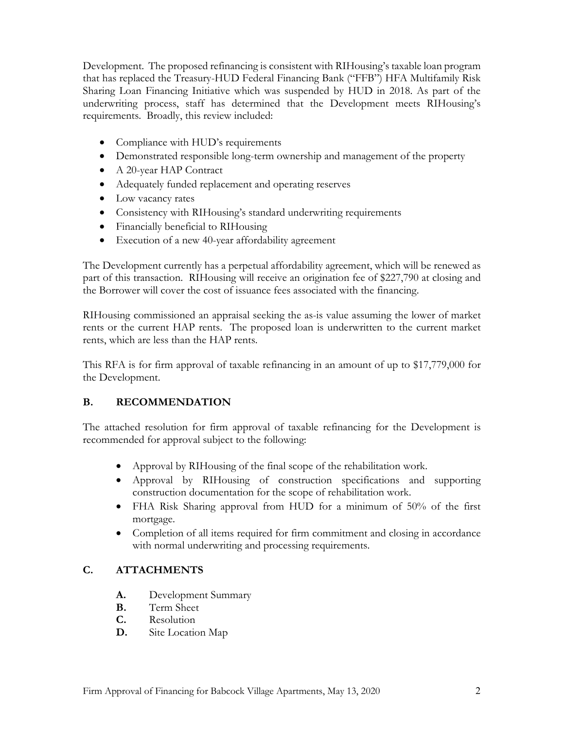Development. The proposed refinancing is consistent with RIHousing's taxable loan program that has replaced the Treasury-HUD Federal Financing Bank ("FFB") HFA Multifamily Risk Sharing Loan Financing Initiative which was suspended by HUD in 2018. As part of the underwriting process, staff has determined that the Development meets RIHousing's requirements. Broadly, this review included:

- Compliance with HUD's requirements
- Demonstrated responsible long-term ownership and management of the property
- A 20-year HAP Contract
- Adequately funded replacement and operating reserves
- Low vacancy rates
- Consistency with RIHousing's standard underwriting requirements
- Financially beneficial to RIHousing
- Execution of a new 40-year affordability agreement

The Development currently has a perpetual affordability agreement, which will be renewed as part of this transaction. RIHousing will receive an origination fee of \$227,790 at closing and the Borrower will cover the cost of issuance fees associated with the financing.

RIHousing commissioned an appraisal seeking the as-is value assuming the lower of market rents or the current HAP rents. The proposed loan is underwritten to the current market rents, which are less than the HAP rents.

This RFA is for firm approval of taxable refinancing in an amount of up to \$17,779,000 for the Development.

# **B. RECOMMENDATION**

The attached resolution for firm approval of taxable refinancing for the Development is recommended for approval subject to the following:

- Approval by RIHousing of the final scope of the rehabilitation work.
- Approval by RIHousing of construction specifications and supporting construction documentation for the scope of rehabilitation work.
- FHA Risk Sharing approval from HUD for a minimum of 50% of the first mortgage.
- Completion of all items required for firm commitment and closing in accordance with normal underwriting and processing requirements.

# **C. ATTACHMENTS**

- **A.** Development Summary
- **B.** Term Sheet
- **C.** Resolution
- **D.** Site Location Map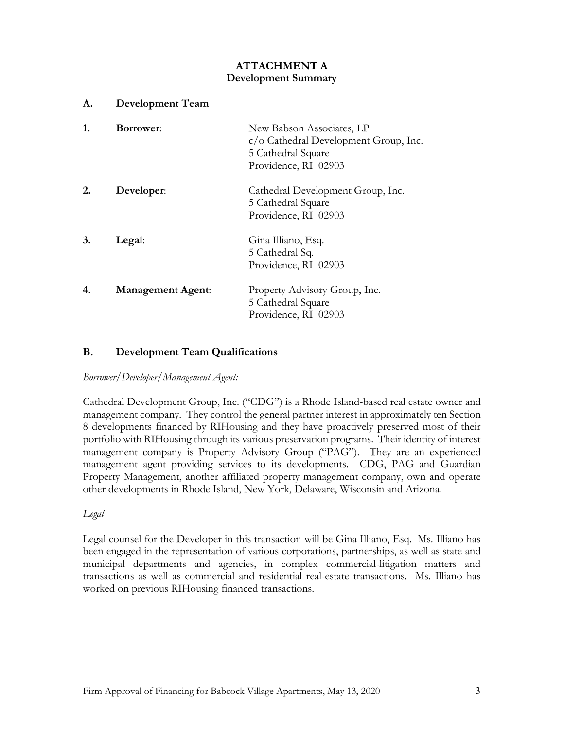### **ATTACHMENT A Development Summary**

| 1. | <b>Borrower:</b>         | New Babson Associates, LP<br>$c/o$ Cathedral Development Group, Inc.<br>5 Cathedral Square<br>Providence, RI 02903 |
|----|--------------------------|--------------------------------------------------------------------------------------------------------------------|
| 2. | Developer:               | Cathedral Development Group, Inc.<br>5 Cathedral Square<br>Providence, RI 02903                                    |
| 3. | Legal:                   | Gina Illiano, Esq.<br>5 Cathedral Sq.<br>Providence, RI 02903                                                      |
| 4. | <b>Management Agent:</b> | Property Advisory Group, Inc.<br>5 Cathedral Square<br>Providence, RI 02903                                        |

### **B. Development Team Qualifications**

*Borrower/Developer/Management Agent:*

**A. Development Team**

Cathedral Development Group, Inc. ("CDG") is a Rhode Island-based real estate owner and management company. They control the general partner interest in approximately ten Section 8 developments financed by RIHousing and they have proactively preserved most of their portfolio with RIHousing through its various preservation programs. Their identity of interest management company is Property Advisory Group ("PAG"). They are an experienced management agent providing services to its developments. CDG, PAG and Guardian Property Management, another affiliated property management company, own and operate other developments in Rhode Island, New York, Delaware, Wisconsin and Arizona.

*Legal*

Legal counsel for the Developer in this transaction will be Gina Illiano, Esq. Ms. Illiano has been engaged in the representation of various corporations, partnerships, as well as state and municipal departments and agencies, in complex commercial-litigation matters and transactions as well as commercial and residential real-estate transactions. Ms. Illiano has worked on previous RIHousing financed transactions.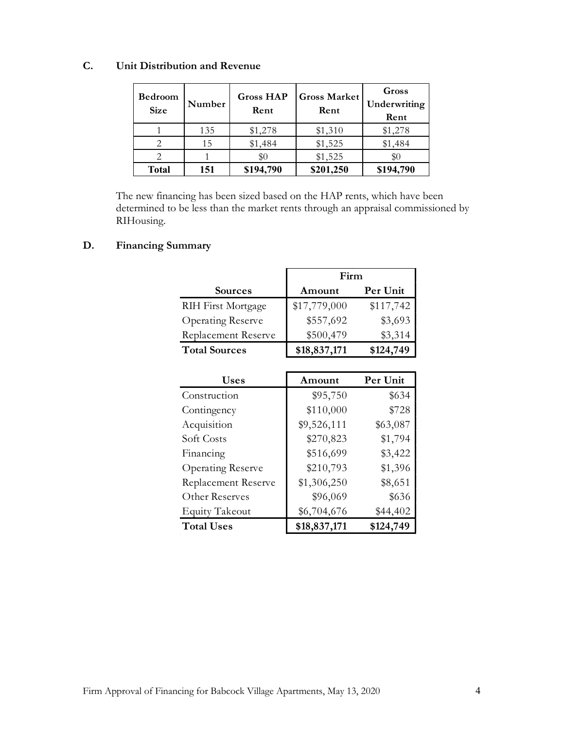| <b>Bedroom</b><br><b>Size</b> | Number | <b>Gross HAP</b><br>Rent | <b>Gross Market</b><br>Rent | Gross<br>Underwriting<br>Rent |
|-------------------------------|--------|--------------------------|-----------------------------|-------------------------------|
|                               | 135    | \$1,278                  | \$1,310                     | \$1,278                       |
|                               | 15     | \$1,484                  | \$1,525                     | \$1,484                       |
|                               |        | $\mathcal{S}()$          | \$1,525                     | \$0                           |
| Total                         | 151    | \$194,790                | \$201,250                   | \$194,790                     |

## **C. Unit Distribution and Revenue**

The new financing has been sized based on the HAP rents, which have been determined to be less than the market rents through an appraisal commissioned by RIHousing.

# **D. Financing Summary**

|                           | Firm         |           |
|---------------------------|--------------|-----------|
| <b>Sources</b>            | Amount       | Per Unit  |
| <b>RIH First Mortgage</b> | \$17,779,000 | \$117,742 |
| Operating Reserve         | \$557,692    | \$3,693   |
| Replacement Reserve       | \$500,479    | \$3,314   |
| <b>Total Sources</b>      | \$18,837,171 | \$124,749 |

| <b>Uses</b>                | Amount       | Per Unit  |
|----------------------------|--------------|-----------|
| Construction               | \$95,750     | \$634     |
| Contingency                | \$110,000    | \$728     |
| Acquisition                | \$9,526,111  | \$63,087  |
| Soft Costs                 | \$270,823    | \$1,794   |
| Financing                  | \$516,699    | \$3,422   |
| <b>Operating Reserve</b>   | \$210,793    | \$1,396   |
| <b>Replacement Reserve</b> | \$1,306,250  | \$8,651   |
| Other Reserves             | \$96,069     | \$636     |
| <b>Equity Takeout</b>      | \$6,704,676  | \$44,402  |
| <b>Total Uses</b>          | \$18,837,171 | \$124,749 |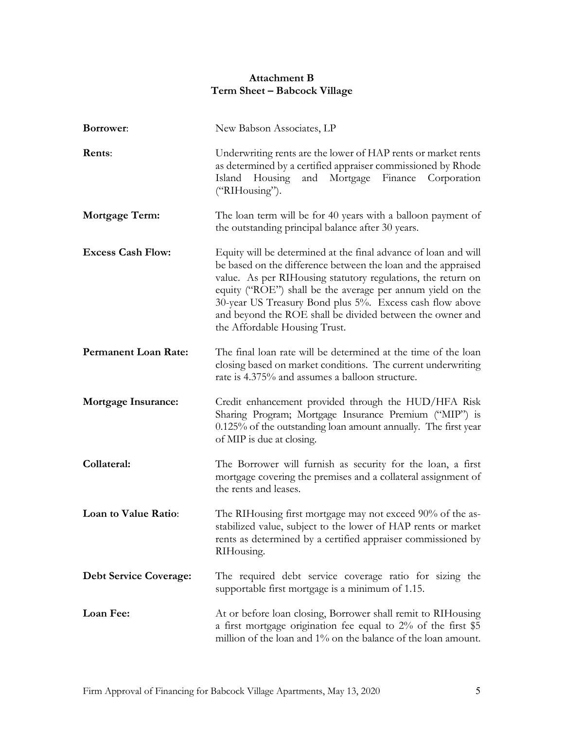# **Attachment B Term Sheet – Babcock Village**

| Borrower:                     | New Babson Associates, LP                                                                                                                                                                                                                                                                                                                                                                                                |  |
|-------------------------------|--------------------------------------------------------------------------------------------------------------------------------------------------------------------------------------------------------------------------------------------------------------------------------------------------------------------------------------------------------------------------------------------------------------------------|--|
| Rents:                        | Underwriting rents are the lower of HAP rents or market rents<br>as determined by a certified appraiser commissioned by Rhode<br>and Mortgage Finance<br>Island Housing<br>Corporation<br>("RIHousing").                                                                                                                                                                                                                 |  |
| Mortgage Term:                | The loan term will be for 40 years with a balloon payment of<br>the outstanding principal balance after 30 years.                                                                                                                                                                                                                                                                                                        |  |
| <b>Excess Cash Flow:</b>      | Equity will be determined at the final advance of loan and will<br>be based on the difference between the loan and the appraised<br>value. As per RIHousing statutory regulations, the return on<br>equity ("ROE") shall be the average per annum yield on the<br>30-year US Treasury Bond plus 5%. Excess cash flow above<br>and beyond the ROE shall be divided between the owner and<br>the Affordable Housing Trust. |  |
| <b>Permanent Loan Rate:</b>   | The final loan rate will be determined at the time of the loan<br>closing based on market conditions. The current underwriting<br>rate is 4.375% and assumes a balloon structure.                                                                                                                                                                                                                                        |  |
| <b>Mortgage Insurance:</b>    | Credit enhancement provided through the HUD/HFA Risk<br>Sharing Program; Mortgage Insurance Premium ("MIP") is<br>0.125% of the outstanding loan amount annually. The first year<br>of MIP is due at closing.                                                                                                                                                                                                            |  |
| Collateral:                   | The Borrower will furnish as security for the loan, a first<br>mortgage covering the premises and a collateral assignment of<br>the rents and leases.                                                                                                                                                                                                                                                                    |  |
| Loan to Value Ratio:          | The RIHousing first mortgage may not exceed 90% of the as-<br>stabilized value, subject to the lower of HAP rents or market<br>rents as determined by a certified appraiser commissioned by<br>RIHousing.                                                                                                                                                                                                                |  |
| <b>Debt Service Coverage:</b> | The required debt service coverage ratio for sizing the<br>supportable first mortgage is a minimum of 1.15.                                                                                                                                                                                                                                                                                                              |  |
| Loan Fee:                     | At or before loan closing, Borrower shall remit to RIHousing<br>a first mortgage origination fee equal to $2\%$ of the first \$5<br>million of the loan and 1% on the balance of the loan amount.                                                                                                                                                                                                                        |  |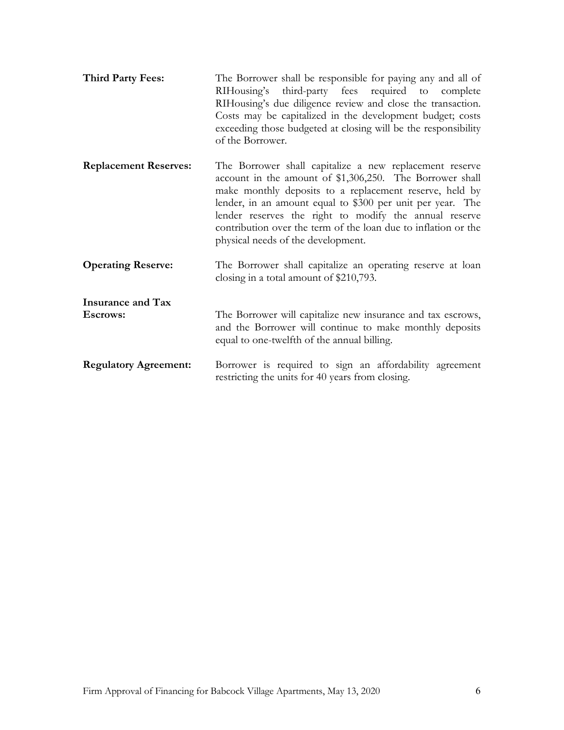| <b>Third Party Fees:</b>                    | The Borrower shall be responsible for paying any and all of<br>RIHousing's third-party fees required to complete<br>RIHousing's due diligence review and close the transaction.<br>Costs may be capitalized in the development budget; costs<br>exceeding those budgeted at closing will be the responsibility<br>of the Borrower.                                                                             |
|---------------------------------------------|----------------------------------------------------------------------------------------------------------------------------------------------------------------------------------------------------------------------------------------------------------------------------------------------------------------------------------------------------------------------------------------------------------------|
| <b>Replacement Reserves:</b>                | The Borrower shall capitalize a new replacement reserve<br>account in the amount of \$1,306,250. The Borrower shall<br>make monthly deposits to a replacement reserve, held by<br>lender, in an amount equal to \$300 per unit per year. The<br>lender reserves the right to modify the annual reserve<br>contribution over the term of the loan due to inflation or the<br>physical needs of the development. |
| <b>Operating Reserve:</b>                   | The Borrower shall capitalize an operating reserve at loan<br>closing in a total amount of \$210,793.                                                                                                                                                                                                                                                                                                          |
| <b>Insurance and Tax</b><br><b>Escrows:</b> | The Borrower will capitalize new insurance and tax escrows,<br>and the Borrower will continue to make monthly deposits<br>equal to one-twelfth of the annual billing.                                                                                                                                                                                                                                          |
| <b>Regulatory Agreement:</b>                | Borrower is required to sign an affordability agreement<br>restricting the units for 40 years from closing.                                                                                                                                                                                                                                                                                                    |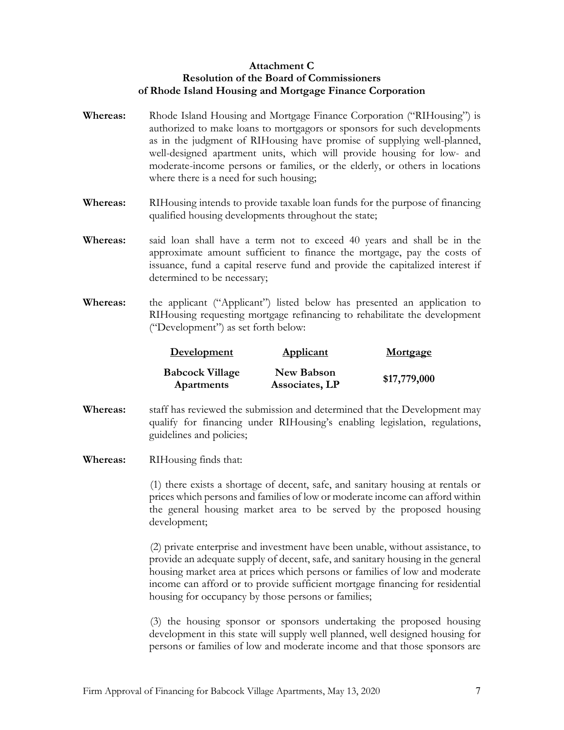#### **Attachment C Resolution of the Board of Commissioners of Rhode Island Housing and Mortgage Finance Corporation**

- **Whereas:** Rhode Island Housing and Mortgage Finance Corporation ("RIHousing") is authorized to make loans to mortgagors or sponsors for such developments as in the judgment of RIHousing have promise of supplying well-planned, well-designed apartment units, which will provide housing for low- and moderate-income persons or families, or the elderly, or others in locations where there is a need for such housing;
- **Whereas:** RIHousing intends to provide taxable loan funds for the purpose of financing qualified housing developments throughout the state;
- **Whereas:** said loan shall have a term not to exceed 40 years and shall be in the approximate amount sufficient to finance the mortgage, pay the costs of issuance, fund a capital reserve fund and provide the capitalized interest if determined to be necessary;
- **Whereas:** the applicant ("Applicant") listed below has presented an application to RIHousing requesting mortgage refinancing to rehabilitate the development ("Development") as set forth below:

| Development            | <b>Applicant</b> | Mortgage     |
|------------------------|------------------|--------------|
| <b>Babcock Village</b> | New Babson       |              |
| Apartments             | Associates, LP   | \$17,779,000 |

- **Whereas:** staff has reviewed the submission and determined that the Development may qualify for financing under RIHousing's enabling legislation, regulations, guidelines and policies;
- **Whereas:** RIHousing finds that:

(1) there exists a shortage of decent, safe, and sanitary housing at rentals or prices which persons and families of low or moderate income can afford within the general housing market area to be served by the proposed housing development;

(2) private enterprise and investment have been unable, without assistance, to provide an adequate supply of decent, safe, and sanitary housing in the general housing market area at prices which persons or families of low and moderate income can afford or to provide sufficient mortgage financing for residential housing for occupancy by those persons or families;

(3) the housing sponsor or sponsors undertaking the proposed housing development in this state will supply well planned, well designed housing for persons or families of low and moderate income and that those sponsors are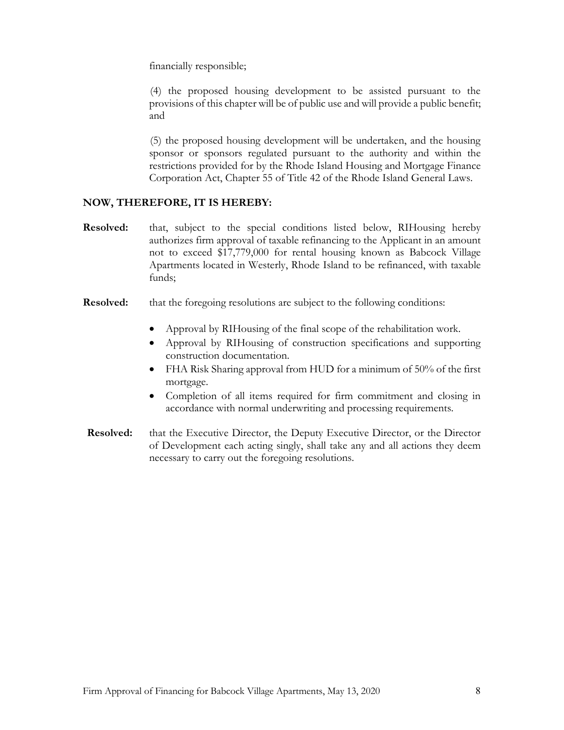financially responsible;

(4) the proposed housing development to be assisted pursuant to the provisions of this chapter will be of public use and will provide a public benefit; and

(5) the proposed housing development will be undertaken, and the housing sponsor or sponsors regulated pursuant to the authority and within the restrictions provided for by the Rhode Island Housing and Mortgage Finance Corporation Act, Chapter 55 of Title 42 of the Rhode Island General Laws.

#### **NOW, THEREFORE, IT IS HEREBY:**

- **Resolved:** that, subject to the special conditions listed below, RIHousing hereby authorizes firm approval of taxable refinancing to the Applicant in an amount not to exceed \$17,779,000 for rental housing known as Babcock Village Apartments located in Westerly, Rhode Island to be refinanced, with taxable funds;
- **Resolved:** that the foregoing resolutions are subject to the following conditions:
	- Approval by RIHousing of the final scope of the rehabilitation work.
	- Approval by RIHousing of construction specifications and supporting construction documentation.
	- FHA Risk Sharing approval from HUD for a minimum of 50% of the first mortgage.
	- Completion of all items required for firm commitment and closing in accordance with normal underwriting and processing requirements.
- **Resolved:** that the Executive Director, the Deputy Executive Director, or the Director of Development each acting singly, shall take any and all actions they deem necessary to carry out the foregoing resolutions.